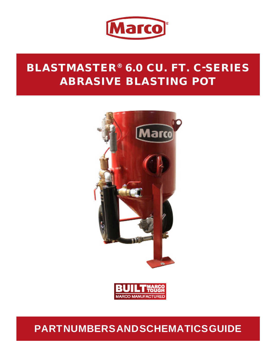

# BLASTMASTER® 6.0 CU. FT. C-SERIES ABRASIVE BLASTING POT





# **PART NUMBERS AND SCHEMATICS GUIDE**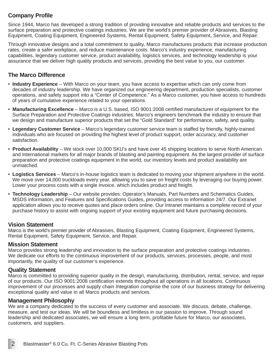#### **Company Profile**

Since 1944, Marco has developed a strong tradition of providing innovative and reliable products and services to the surface preparation and protective coatings industries. We are the world's premier provider of Abrasives, Blasting Equipment, Coating Equipment, Engineered Systems, Rental Equipment, Safety Equipment, Service, and Repair.

Through innovative designs and a total commitment to quality, Marco manufactures products that increase production rates, create a safer workplace, and reduce maintenance costs. Marco's industry experience, manufacturing capabilities, legendary customer service, product availability, logistics services, and technology leadership is your assurance that we deliver high quality products and services, providing the best value to you, our customer.

#### **The Marco Difference**

- **Industry Experience** With Marco on your team, you have access to expertise which can only come from decades of industry leadership. We have organized our engineering department, production specialists, customer operations, and safety support into a "Center of Competence." As a Marco customer, you have access to hundreds of years of cumulative experience related to your operations.
- **Manufacturing Excellence** Marco is a U.S. based, ISO 9001:2008 certified manufacturer of equipment for the Surface Preparation and Protective Coatings industries. Marco's engineers benchmark the industry to ensure that we design and manufacture superior products that set the "Gold Standard" for performance, safety, and quality.
- **Legendary Customer Service** Marco's legendary customer service team is staffed by friendly, highly-trained individuals who are focused on providing the highest level of product support, order accuracy, and customer satisfaction.
- **Product Availability** We stock over 10,000 SKU's and have over 45 shipping locations to serve North American and International markets for all major brands of blasting and painting equipment. As the largest provider of surface preparation and protective coatings equipment in the world, our inventory levels and product availability are unmatched.
- **Logistics Services** Marco's in-house logistics team is dedicated to moving your shipment anywhere in the world. We move over 14,000 truckloads every year, allowing you to save on freight costs by leveraging our buying power. Lower your process costs with a single invoice, which includes product and freight.
- **Technology Leadership** Our website provides: Operator's Manuals, Part Numbers and Schematics Guides, MSDS information, and Features and Specifications Guides, providing access to information 24/7. Our Extranet application allows you to receive quotes and place orders online. Our Intranet maintains a complete record of your purchase history to assist with ongoing support of your existing equipment and future purchasing decisions.

#### **Vision Statement**

Marco is the world's premier provider of Abrasives, Blasting Equipment, Coating Equipment, Engineered Systems, Rental Equipment, Safety Equipment, Service, and Repair.

#### **Mission Statement**

Marco provides strong leadership and innovation to the surface preparation and protective coatings industries. We dedicate our efforts to the continuous improvement of our products, services, processes, people, and most importantly, the quality of our customer's experience.

#### **Quality Statement**

Marco is committed to providing superior quality in the design, manufacturing, distribution, rental, service, and repair of our products. Our ISO 9001:2008 certification extends throughout all operations in all locations. Continuous improvement of our processes and supply chain Integration comprise the core of our business strategy for delivering exceptional quality and value in all Marco products and services.

#### **Management Philosophy**

We are a company dedicated to the success of every customer and associate. We discuss, debate, challenge, measure, and test our ideas. We will be boundless and limitless in our passion to improve. Through sound leadership and dedicated associates, we will ensure a long term, profitable future for Marco, our associates, customers, and suppliers.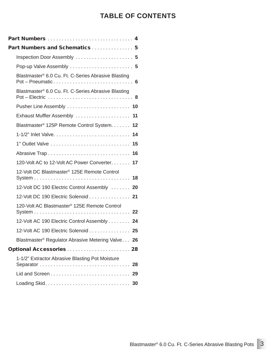# **TABLE OF CONTENTS**

| Part Numbers  4                                                                                                                          |  |
|------------------------------------------------------------------------------------------------------------------------------------------|--|
| Part Numbers and Schematics  5                                                                                                           |  |
| Inspection Door Assembly  5                                                                                                              |  |
| Pop-up Valve Assembly  5                                                                                                                 |  |
| Blastmaster <sup>®</sup> 6.0 Cu. Ft. C-Series Abrasive Blasting                                                                          |  |
| Blastmaster® 6.0 Cu. Ft. C-Series Abrasive Blasting<br>Pot – Electric $\ldots \ldots \ldots \ldots \ldots \ldots \ldots \ldots \ldots 8$ |  |
|                                                                                                                                          |  |
| Exhaust Muffler Assembly  11                                                                                                             |  |
| Blastmaster <sup>®</sup> 125P Remote Control System. 12                                                                                  |  |
|                                                                                                                                          |  |
| 1" Outlet Valve  15                                                                                                                      |  |
|                                                                                                                                          |  |
| 120-Volt AC to 12-Volt AC Power Converter. 17                                                                                            |  |
| 12-Volt DC Blastmaster® 125E Remote Control                                                                                              |  |
| 12-Volt DC 190 Electric Control Assembly  20                                                                                             |  |
| 12-Volt DC 190 Electric Solenoid  21                                                                                                     |  |
| 120-Volt AC Blastmaster <sup>®</sup> 125E Remote Control                                                                                 |  |
| 12-Volt AC 190 Electric Control Assembly 24                                                                                              |  |
| 12-Volt AC 190 Electric Solenoid  25                                                                                                     |  |
| Blastmaster <sup>®</sup> Regulator Abrasive Metering Valve 26                                                                            |  |
| Optional Accessories  28                                                                                                                 |  |
| 1-1/2" Extractor Abrasive Blasting Pot Moisture<br>Separator  28                                                                         |  |
|                                                                                                                                          |  |
|                                                                                                                                          |  |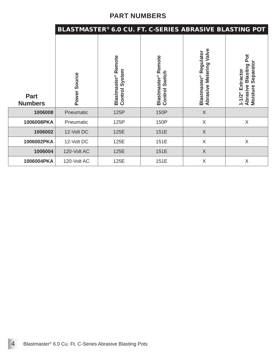# **PART NUMBERS**

|                               |                 |                                                      | BLASTMASTER® 6.0 CU. FT. C-SERIES ABRASIVE BLASTING POT |                                                               |                                                                                         |
|-------------------------------|-----------------|------------------------------------------------------|---------------------------------------------------------|---------------------------------------------------------------|-----------------------------------------------------------------------------------------|
| <b>Part</b><br><b>Numbers</b> | Source<br>Power | Blastmaster <sup>®</sup> Remote<br>System<br>Control | Blastmaster <sup>®</sup> Remote<br>Switch<br>Control    | Abrasive Metering Valve<br>Blastmaster <sup>®</sup> Regulator | Pot<br>Separator<br><b>Blasitng</b><br>Extractor<br>Abrasive<br>Moisture<br>$1 - 1/2$ " |
| 1006008                       | Pneumatic       | 125P                                                 | 150P                                                    | $\times$                                                      |                                                                                         |
| 1006008PKA                    | Pneumatic       | 125P                                                 | 150P                                                    | X                                                             | X                                                                                       |
| 1006002                       | 12-Volt DC      | 125E                                                 | 151E                                                    | X                                                             |                                                                                         |
| 1006002PKA                    | 12-Volt DC      | 125E                                                 | 151E                                                    | X                                                             | X                                                                                       |
| 1006004                       | 120-Volt AC     | 125E                                                 | 151E                                                    | X                                                             |                                                                                         |
| 1006004PKA                    | 120-Volt AC     | 125E                                                 | 151E                                                    | X                                                             | X                                                                                       |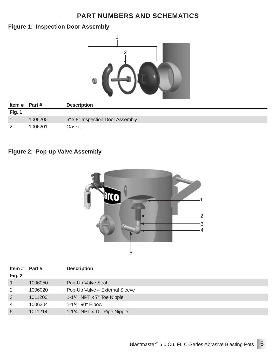#### **Figure 1: Inspection Door Assembly**



| Item $#$ Part $#$ |         | <b>Description</b>               |
|-------------------|---------|----------------------------------|
| Fig. 1            |         |                                  |
|                   | 1006200 | 6" x 8" Inspection Door Assembly |
|                   | 1006201 | Gasket                           |

#### **Figure 2: Pop-up Valve Assembly**



| ltem #         | Part #  | <b>Description</b>             |
|----------------|---------|--------------------------------|
| Fig. 2         |         |                                |
|                | 1006050 | Pop-Up Valve Seat              |
| 2              | 1006020 | Pop-Up Valve - External Sleeve |
| 3              | 1011200 | 1-1/4" NPT x 7" Toe Nipple     |
| $\overline{4}$ | 1006204 | $1-1/4$ " 90 $^{\circ}$ Elbow  |
| 5              | 1011214 | 1-1/4" NPT x 10" Pipe Nipple   |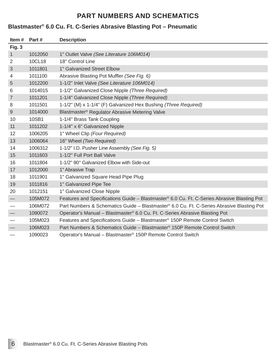#### **Blastmaster® 6.0 Cu. Ft. C-Series Abrasive Blasting Pot – Pneumatic**

| Item#                             | Part#   | <b>Description</b>                                                                          |
|-----------------------------------|---------|---------------------------------------------------------------------------------------------|
| Fig. 3                            |         |                                                                                             |
| $\mathbf{1}$                      | 1012050 | 1" Outlet Valve (See Literature 106M014)                                                    |
| 2                                 | 10CL18  | 18" Control Line                                                                            |
| 3                                 | 1011801 | 1" Galvanized Street Elbow                                                                  |
| 4                                 | 1011100 | Abrasive Blasting Pot Muffler (See Fig. 6)                                                  |
| 5                                 | 1012200 | 1-1/2" Inlet Valve (See Literature 106M014)                                                 |
| 6                                 | 1014015 | 1-1/2" Galvanized Close Nipple (Three Required)                                             |
| $\overline{7}$                    | 1011201 | 1-1/4" Galvanized Close Nipple (Three Required)                                             |
| 8                                 | 1011501 | 1-1/2" (M) x 1-1/4" (F) Galvanized Hex Bushing (Three Required)                             |
| 9                                 | 1014000 | Blastmaster <sup>®</sup> Regulator Abrasive Metering Valve                                  |
| 10                                | 10SB1   | 1-1/4" Brass Tank Coupling                                                                  |
| 11                                | 1011202 | 1-1/4" x 6" Galvanized Nipple                                                               |
| 12                                | 1006205 | 1" Wheel Clip (Four Required)                                                               |
| 13                                | 1006064 | 16" Wheel (Two Required)                                                                    |
| 14                                | 1006312 | 1-1/2" I.D. Pusher Line Assembly (See Fig. 5)                                               |
| 15                                | 1011603 | 1-1/2" Full Port Ball Valve                                                                 |
| 16                                | 1011804 | 1-1/2" 90° Galvanized Elbow with Side-out                                                   |
| 17                                | 1012000 | 1" Abrasive Trap                                                                            |
| 18                                | 1011901 | 1" Galvanized Square Head Pipe Plug                                                         |
| 19                                | 1011816 | 1" Galvanized Pipe Tee                                                                      |
| 20                                | 1012151 | 1" Galvanized Close Nipple                                                                  |
| $\overbrace{\phantom{13333}}$     | 105M072 | Features and Specifications Guide – Blastmaster® 6.0 Cu. Ft. C-Series Abrasive Blasting Pot |
| $\overbrace{\phantom{123221111}}$ | 106M072 | Part Numbers & Schematics Guide - Blastmaster® 6.0 Cu. Ft. C-Series Abrasive Blasting Pot   |
|                                   | 1090072 | Operator's Manual - Blastmaster® 6.0 Cu. Ft. C-Series Abrasive Blasting Pot                 |
|                                   | 105M023 | Features and Specifications Guide – Blastmaster <sup>®</sup> 150P Remote Control Switch     |
|                                   | 106M023 | Part Numbers & Schematics Guide - Blastmaster® 150P Remote Control Switch                   |
| $\hspace{0.05cm}$                 | 1090023 | Operator's Manual - Blastmaster <sup>®</sup> 150P Remote Control Switch                     |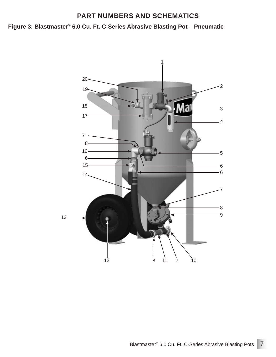#### **Figure 3: Blastmaster® 6.0 Cu. Ft. C-Series Abrasive Blasting Pot – Pneumatic**

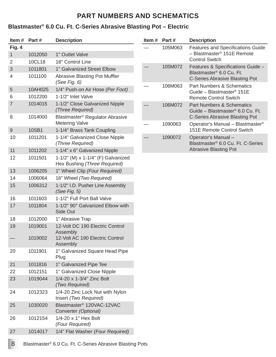#### **Blastmaster® 6.0 Cu. Ft. C-Series Abrasive Blasting Pot – Electric**

| Item#          | Part#              | <b>Description</b>                                                             |
|----------------|--------------------|--------------------------------------------------------------------------------|
| Fig. 4         |                    |                                                                                |
| $\mathbf{1}$   | 1012050            | 1" Outlet Valve                                                                |
| $\overline{2}$ | 10CL18             | 18" Control Line                                                               |
| 3              | 1011801            | 1" Galvanized Street Elbow                                                     |
| 4              | 1011100            | <b>Abrasive Blasting Pot Muffler</b><br>(See Fig. 6)                           |
| 5              | 10AH025            | 1/4" Push-on Air Hose (Per Foot)                                               |
| 6              | 1012200            | 1-1/2" Inlet Valve                                                             |
| $\overline{7}$ | 1014015            | 1-1/2" Close Galvanized Nipple<br>(Three Required)                             |
| 8              | 1014000            | Blastmaster <sup>®</sup> Regulator Abrasive<br><b>Metering Valve</b>           |
| 9              | 10SB1              | 1-1/4" Brass Tank Coupling                                                     |
| 10             | 1011201            | 1-1/4" Galvanized Close Nipple<br>(Three Required)                             |
| 11             | 1011202            | 1-1/4" x 6" Galvanized Nipple                                                  |
| 12             | 1011501            | 1-1/2" (M) x 1-1/4" (F) Galvanized<br>Hex Bushing (Three Required)             |
| 13             | 1006205            | 1" Wheel Clip (Four Required)                                                  |
| 14             | 1006064            | 16" Wheel (Two Required)                                                       |
| 15             | 1006312            | 1-1/2" I.D. Pusher Line Assembly<br>(See Fig. $5$ )                            |
| 16             | 1011603            | 1-1/2" Full Port Ball Valve                                                    |
| 17             | 1011804            | 1-1/2" 90° Galvanized Elbow with<br>Side Out                                   |
| 18             | 1012000            | 1" Abrasive Trap                                                               |
| 19             | 1019001<br>1019002 | 12-Volt DC 190 Electric Control<br>Assembly<br>12-Volt AC 190 Electric Control |
|                |                    | Assembly                                                                       |
| 20             | 1011901            | 1" Galvanized Square Head Pipe<br>Plug                                         |
| 21             | 1011816            | 1" Galvanized Pipe Tee                                                         |
| 22             | 1012151            | 1" Galvanized Close Nipple                                                     |
| 23             | 1019044            | 1/4-20 x 1-3/4" Zinc Bolt<br>(Two Required)                                    |
| 24             | 1012323            | 1/4-20 Zinc Lock Nut with Nylon<br>Insert (Two Required)                       |
| 25             | 1030020            | Blastmaster <sup>®</sup> 120VAC-12VAC<br>Converter (Optional)                  |
| 26             | 1012154            | 1/4-20 x 1" Hex Bolt<br>(Four Required)                                        |
| 27             | 1014017            | 1/4" Flat Washer (Four Required)                                               |

| Part #  | <b>Description</b>                                                                                          |
|---------|-------------------------------------------------------------------------------------------------------------|
| 105M063 | <b>Features and Specifications Guide</b><br>- Blastmaster <sup>®</sup> 151E Remote<br><b>Control Switch</b> |
| 105M072 | Features & Specifications Guide -<br>Blastmaster® 6.0 Cu. Ft.<br>C-Series Abrasive Blasting Pot             |
| 106M063 | Part Numbers & Schematics<br>Guide - Blastmaster <sup>®</sup> 151E<br><b>Remote Control Switch</b>          |
| 106M072 | <b>Part Numbers &amp; Schematics</b><br>Guide – Blastmaster® 6.0 Cu. Ft.<br>C-Series Abrasive Blasting Pot  |
| 1090063 | Operator's Manual - Blastmaster <sup>®</sup><br>151E Remote Control Switch                                  |
| 1090072 | Operator's Manual-<br>Blastmaster® 6.0 Cu. Ft. C-Series<br><b>Abrasive Blasting Pot</b>                     |
|         |                                                                                                             |

8 Blastmaster® 6.0 Cu. Ft. C-Series Abrasive Blasting Pots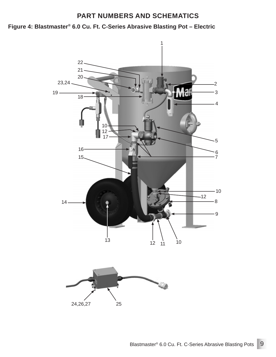**Figure 4: Blastmaster® 6.0 Cu. Ft. C-Series Abrasive Blasting Pot – Electric**

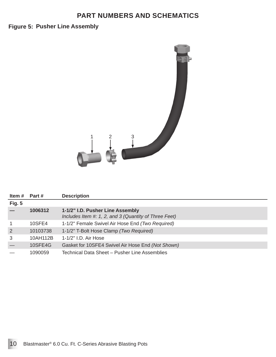#### **Figure 5: Pusher Line Assembly**



| Item #         | Part #   | <b>Description</b>                                                                        |
|----------------|----------|-------------------------------------------------------------------------------------------|
| <b>Fig. 5</b>  |          |                                                                                           |
|                | 1006312  | 1-1/2" I.D. Pusher Line Assembly<br>Includes Item #: 1, 2, and 3 (Quantity of Three Feet) |
|                | 10SFE4   | 1-1/2" Female Swivel Air Hose End (Two Required)                                          |
| $\overline{2}$ | 10103738 | 1-1/2" T-Bolt Hose Clamp (Two Required)                                                   |
| 3              | 10AH112B | 1-1/2" I.D. Air Hose                                                                      |
|                | 10SFE4G  | Gasket for 10SFE4 Swivel Air Hose End (Not Shown)                                         |
|                | 1090059  | Technical Data Sheet – Pusher Line Assemblies                                             |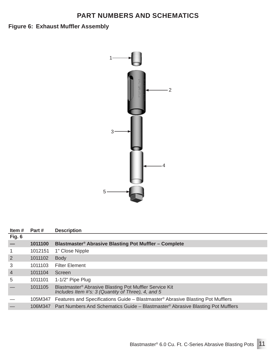# **Figure 6: Exhaust Muffler Assembly**



| Item#          | Part #  | <b>Description</b>                                                                                                       |
|----------------|---------|--------------------------------------------------------------------------------------------------------------------------|
| Fig. 6         |         |                                                                                                                          |
|                | 1011100 | Blastmaster <sup>®</sup> Abrasive Blasting Pot Muffler – Complete                                                        |
|                | 1012151 | 1" Close Nipple                                                                                                          |
| $\overline{2}$ | 1011102 | <b>Body</b>                                                                                                              |
| 3              | 1011103 | <b>Filter Element</b>                                                                                                    |
| $\overline{4}$ | 1011104 | Screen                                                                                                                   |
| 5              | 1011101 | $1-1/2$ " Pipe Plug                                                                                                      |
|                | 1011105 | Blastmaster <sup>®</sup> Abrasive Blasting Pot Muffler Service Kit<br>Includes Item #'s: 3 (Quantity of Three), 4, and 5 |
|                |         | 105M347 Features and Specifications Guide – Blastmaster® Abrasive Blasting Pot Mufflers                                  |
|                |         | 106M347 Part Numbers And Schematics Guide – Blastmaster® Abrasive Blasting Pot Mufflers                                  |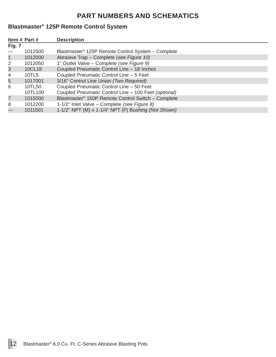# **Blastmaster® 125P Remote Control System**

|              | Item # Part # | <b>Description</b>                                             |
|--------------|---------------|----------------------------------------------------------------|
| Fig. 7       |               |                                                                |
|              | 1012500       | Blastmaster <sup>®</sup> 125P Remote Control System – Complete |
| $\mathbf{1}$ | 1012000       | Abrasive Trap - Complete (see Figure 10)                       |
| 2            | 1012050       | 1" Outlet Valve - Complete (see Figure 9)                      |
| 3            | 10CL18        | Coupled Pneumatic Control Line - 18 Inches                     |
| 4            | 10TL5         | Coupled Pneumatic Control Line - 5 Feet                        |
| 5            | 1017001       | 3/16" Control Line Union (Two Required)                        |
| 6            | 10TL50        | Coupled Pneumatic Control Line - 50 Feet                       |
|              | 10TL100       | Coupled Pneumatic Control Line - 100 Feet (optional)           |
| 7            | 1015000       | Blastmaster <sup>®</sup> 150P Remote Control Switch - Complete |
| 8            | 1012200       | 1-1/2" Inlet Valve - Complete (see Figure 8)                   |
|              | 1011501       | 1-1/2" NPT (M) x 1-1/4" NPT (F) Bushing (Not Shown)            |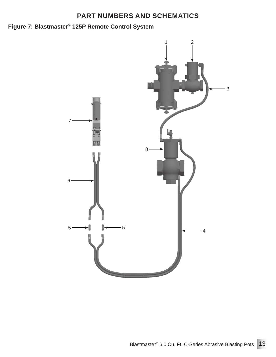# **Figure 7: Blastmaster® 125P Remote Control System**

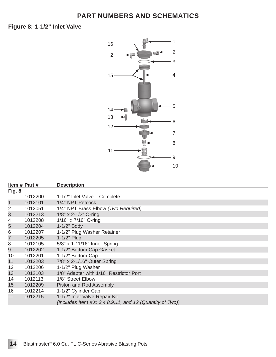**1-1/2" Inlet Valve Figure 8:**



| Item # Part # | <b>Description</b>                                                                            |
|---------------|-----------------------------------------------------------------------------------------------|
|               |                                                                                               |
| 1012200       | 1-1/2" Inlet Valve - Complete                                                                 |
| 1012101       | 1/4" NPT Petcock                                                                              |
| 1012051       | 1/4" NPT Brass Elbow (Two Required)                                                           |
| 1012213       | 1/8" x 2-1/2" O-ring                                                                          |
| 1012208       | 1/16" x 7/16" O-ring                                                                          |
| 1012204       | 1-1/2" Body                                                                                   |
| 1012207       | 1-1/2" Plug Washer Retainer                                                                   |
| 1012205       | 1-1/2" Plug                                                                                   |
| 1012105       | 5/8" x 1-11/16" Inner Spring                                                                  |
| 1012202       | 1-1/2" Bottom Cap Gasket                                                                      |
| 1012201       | 1-1/2" Bottom Cap                                                                             |
| 1012203       | 7/8" x 2-1/16" Outer Spring                                                                   |
| 1012206       | 1-1/2" Plug Washer                                                                            |
| 1012103       | 1/8" Adapter with 1/16" Restrictor Port                                                       |
| 1012113       | 1/8" Street Elbow                                                                             |
| 1012209       | Piston and Rod Assembly                                                                       |
| 1012214       | 1-1/2" Cylinder Cap                                                                           |
| 1012215       | 1-1/2" Inlet Valve Repair Kit<br>(Includes Item #'s: $3,4,8,9,11$ , and 12 (Quantity of Two)) |
|               |                                                                                               |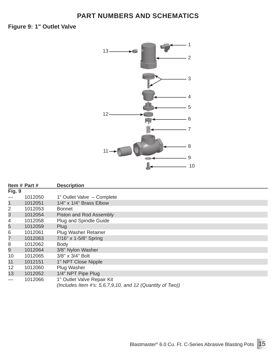**1" Outlet Valve Figure 9:**



|                | Item # Part # | <b>Description</b>                                                                         |
|----------------|---------------|--------------------------------------------------------------------------------------------|
| Fig. 9         |               |                                                                                            |
|                | 1012050       | 1" Outlet Valve - Complete                                                                 |
| $\mathbf 1$    | 1012051       | $1/4$ " x $1/4$ " Brass Elbow                                                              |
| $\overline{2}$ | 1012053       | <b>Bonnet</b>                                                                              |
| 3              | 1012054       | Piston and Rod Assembly                                                                    |
| 4              | 1012058       | Plug and Spindle Guide                                                                     |
| 5              | 1012059       | Plug                                                                                       |
| 6              | 1012061       | Plug Washer Retainer                                                                       |
| $\overline{7}$ | 1012063       | 7/16" x 1-5/8" Spring                                                                      |
| 8              | 1012062       | <b>Body</b>                                                                                |
| 9              | 1012064       | 3/8" Nylon Washer                                                                          |
| 10             | 1012065       | $3/8" \times 3/4"$ Bolt                                                                    |
| 11             | 1012151       | 1" NPT Close Nipple                                                                        |
| 12             | 1012060       | Plug Washer                                                                                |
| 13             | 1012052       | 1/4" NPT Pipe Plug                                                                         |
|                | 1012066       | 1" Outlet Valve Repair Kit<br>(Includes Item #'s: $5,6,7,9,10$ , and 12 (Quantity of Two)) |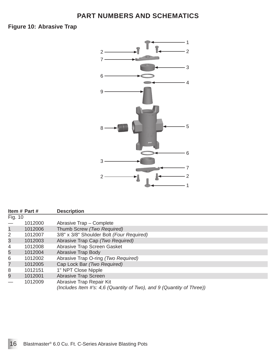**Abrasive Trap Figure 10:**



|                | Item # Part # | <b>Description</b>                                                                                |  |
|----------------|---------------|---------------------------------------------------------------------------------------------------|--|
| Fig. 10        |               |                                                                                                   |  |
|                | 1012000       | Abrasive Trap - Complete                                                                          |  |
| $\mathbf{1}$   | 1012006       | Thumb Screw (Two Required)                                                                        |  |
| 2              | 1012007       | 3/8" x 3/8" Shoulder Bolt (Four Required)                                                         |  |
| $\mathfrak{S}$ | 1012003       | Abrasive Trap Cap (Two Required)                                                                  |  |
| 4              | 1012008       | Abrasive Trap Screen Gasket                                                                       |  |
| 5              | 1012004       | <b>Abrasive Trap Body</b>                                                                         |  |
| 6              | 1012002       | Abrasive Trap O-ring (Two Required)                                                               |  |
| $\overline{7}$ | 1012005       | Cap Lock Bar (Two Required)                                                                       |  |
| 8              | 1012151       | 1" NPT Close Nipple                                                                               |  |
| 9              | 1012001       | Abrasive Trap Screen                                                                              |  |
|                | 1012009       | Abrasive Trap Repair Kit<br>(Includes Item #'s: 4,6 (Quantity of Two), and 9 (Quantity of Three)) |  |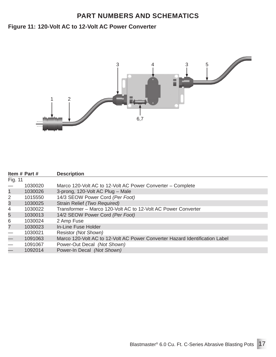#### **Figure 11: 120-Volt AC to 12-Volt AC Power Converter**



|                          | Item # Part # | <b>Description</b>                                                          |
|--------------------------|---------------|-----------------------------------------------------------------------------|
| Fig. 11                  |               |                                                                             |
|                          | 1030020       | Marco 120-Volt AC to 12-Volt AC Power Converter – Complete                  |
| $\mathbf{1}$             | 1030026       | 3-prong, 120-Volt AC Plug - Male                                            |
| 2                        | 1015550       | 14/3 SEOW Power Cord (Per Foot)                                             |
| $\mathfrak{S}$           | 1030025       | Strain Relief (Two Required)                                                |
| 4                        | 1030022       | Transformer – Marco 120-Volt AC to 12-Volt AC Power Converter               |
| 5                        | 1030013       | 14/2 SEOW Power Cord (Per Foot)                                             |
| 6                        | 1030024       | 2 Amp Fuse                                                                  |
| $\overline{7}$           | 1030023       | In-Line Fuse Holder                                                         |
|                          | 1030021       | Resistor (Not Shown)                                                        |
| $\overline{\phantom{0}}$ | 1091063       | Marco 120-Volt AC to 12-Volt AC Power Converter Hazard Identification Label |
|                          | 1091067       | Power-Out Decal (Not Shown)                                                 |
| $\overline{\phantom{0}}$ | 1092014       | Power-In Decal (Not Shown)                                                  |
|                          |               |                                                                             |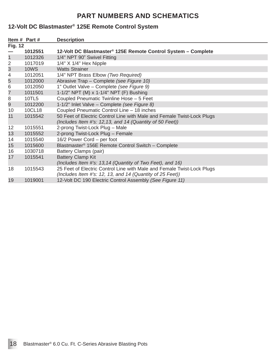#### **12-Volt DC Blastmaster® 125E Remote Control System**

|                | Item # Part # | <b>Description</b>                                                                                                                  |
|----------------|---------------|-------------------------------------------------------------------------------------------------------------------------------------|
| <b>Fig. 12</b> |               |                                                                                                                                     |
|                | 1012551       | 12-Volt DC Blastmaster <sup>®</sup> 125E Remote Control System - Complete                                                           |
| 1              | 1012326       | 1/4" NPT 90° Swivel Fitting                                                                                                         |
| $\overline{2}$ | 1017019       | $1/4"$ X $1/4"$ Hex Nipple                                                                                                          |
| $\mathfrak{S}$ | <b>10WS</b>   | <b>Watts Strainer</b>                                                                                                               |
| 4              | 1012051       | 1/4" NPT Brass Elbow (Two Required)                                                                                                 |
| 5              | 1012000       | Abrasive Trap - Complete (see Figure 10)                                                                                            |
| 6              | 1012050       | 1" Outlet Valve – Complete (see Figure 9)                                                                                           |
| $\overline{7}$ | 1011501       | 1-1/2" NPT (M) x 1-1/4" NPT (F) Bushing                                                                                             |
| 8              | 10TL5         | Coupled Pneumatic Twinline Hose - 5 Feet                                                                                            |
| 9              | 1012200       | 1-1/2" Inlet Valve - Complete (see Figure 8)                                                                                        |
| 10             | 10CL18        | Coupled Pneumatic Control Line - 18 inches                                                                                          |
| 11             | 1015542       | 50 Feet of Electric Control Line with Male and Female Twist-Lock Plugs<br>(Includes Item #'s: 12,13, and 14 (Quantity of 50 Feet))  |
| 12             | 1015551       | 2-prong Twist-Lock Plug - Male                                                                                                      |
| 13             | 1015552       | 2-prong Twist-Lock Plug - Female                                                                                                    |
| 14             | 1015540       | 16/2 Power Cord – per foot                                                                                                          |
| 15             | 1015600       | Blastmaster <sup>®</sup> 156E Remote Control Switch - Complete                                                                      |
| 16             | 1030718       | Battery Clamps (pair)                                                                                                               |
| 17             | 1015541       | <b>Battery Clamp Kit</b><br>(Includes Item #'s: 13,14 (Quantity of Two Feet), and 16)                                               |
| 18             | 1015543       | 25 Feet of Electric Control Line with Male and Female Twist-Lock Plugs<br>(Includes Item #'s: 12, 13, and 14 (Quantity of 25 Feet)) |
| 19             | 1019001       | 12-Volt DC 190 Electric Control Assembly (See Figure 11)                                                                            |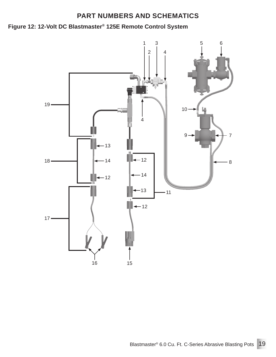# **Figure 12: 12-Volt DC Blastmaster® 125E Remote Control System**

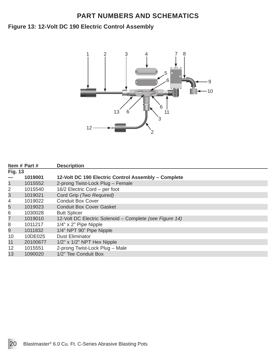#### **12-Volt DC 190 Electric Control Assembly Figure 13:**



|                | Item # Part # | <b>Description</b>                                      |
|----------------|---------------|---------------------------------------------------------|
| <b>Fig. 13</b> |               |                                                         |
|                | 1019001       | 12-Volt DC 190 Electric Control Assembly - Complete     |
| $\mathbf{1}$   | 1015552       | 2-prong Twist-Lock Plug - Female                        |
| $\overline{2}$ | 1015540       | 16/2 Electric Cord - per foot                           |
| 3              | 1019021       | Cord Grip (Two Required)                                |
| 4              | 1019022       | <b>Conduit Box Cover</b>                                |
| 5              | 1019023       | <b>Conduit Box Cover Gasket</b>                         |
| 6              | 1030028       | <b>Butt Splicer</b>                                     |
| 7              | 1019010       | 12-Volt DC Electric Solenoid - Complete (see Figure 14) |
| 8              | 1011217       | $1/4"$ x 2" Pipe Nipple                                 |
| 9              | 1011832       | 1/4" NPT 90° Pipe Nipple                                |
| 10             | 10DE025       | <b>Dust Eliminator</b>                                  |
| 11             | 20100677      | $1/2"$ x $1/2"$ NPT Hex Nipple                          |
| 12             | 1015551       | 2-prong Twist-Lock Plug - Male                          |
| 13             | 1090020       | 1/2" Tee Conduit Box                                    |
|                |               |                                                         |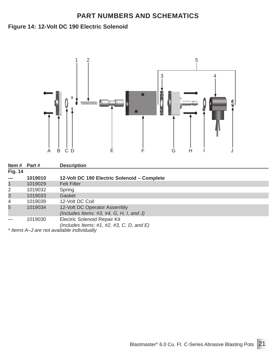#### **12-Volt DC 190 Electric Solenoid Figure 14:**



| Item $#$ Part $#$ |         | <b>Description</b>                                                           |
|-------------------|---------|------------------------------------------------------------------------------|
| <b>Fig. 14</b>    |         |                                                                              |
|                   | 1019010 | 12-Volt DC 190 Electric Solenoid - Complete                                  |
| $\mathbf{1}$      | 1019029 | <b>Felt Filter</b>                                                           |
| $\overline{2}$    | 1019032 | Spring                                                                       |
| 3                 | 1019033 | Gasket                                                                       |
| 4                 | 1019039 | 12-Volt DC Coil                                                              |
| 5                 | 1019034 | 12-Volt DC Operator Assembly<br>(Includes Items: #3, #4, G, H, I, and J)     |
|                   | 1019030 | Electric Solenoid Repair Kit<br>(Includes Items: #1, #2, #3, C, D, and $E$ ) |
|                   |         | $*$ Hama $\Lambda$ Lara not available individually                           |

*\* Items A–J are not available individually*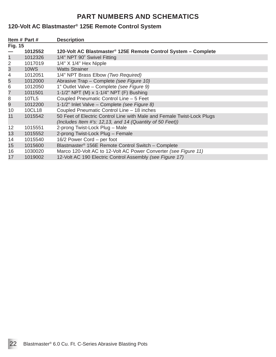#### **120-Volt AC Blastmaster® 125E Remote Control System**

|                | Item # Part # | <b>Description</b>                                                                                                                 |
|----------------|---------------|------------------------------------------------------------------------------------------------------------------------------------|
| <b>Fig. 15</b> |               |                                                                                                                                    |
|                | 1012552       | 120-Volt AC Blastmaster <sup>®</sup> 125E Remote Control System – Complete                                                         |
| $\mathbf{1}$   | 1012326       | 1/4" NPT 90° Swivel Fitting                                                                                                        |
| 2              | 1017019       | $1/4"$ X $1/4"$ Hex Nipple                                                                                                         |
| 3              | <b>10WS</b>   | <b>Watts Strainer</b>                                                                                                              |
| 4              | 1012051       | 1/4" NPT Brass Elbow (Two Required)                                                                                                |
| 5              | 1012000       | Abrasive Trap - Complete (see Figure 10)                                                                                           |
| 6              | 1012050       | 1" Outlet Valve - Complete (see Figure 9)                                                                                          |
| $\overline{7}$ | 1011501       | 1-1/2" NPT (M) x 1-1/4" NPT (F) Bushing                                                                                            |
| 8              | 10TL5         | Coupled Pneumatic Control Line - 5 Feet                                                                                            |
| 9              | 1012200       | 1-1/2" Inlet Valve - Complete (see Figure 8)                                                                                       |
| 10             | 10CL18        | Coupled Pneumatic Control Line - 18 inches                                                                                         |
| 11             | 1015542       | 50 Feet of Electric Control Line with Male and Female Twist-Lock Plugs<br>(Includes Item #'s: 12,13, and 14 (Quantity of 50 Feet)) |
| 12             | 1015551       | 2-prong Twist-Lock Plug – Male                                                                                                     |
| 13             | 1015552       | 2-prong Twist-Lock Plug - Female                                                                                                   |
| 14             | 1015540       | 16/2 Power Cord - per foot                                                                                                         |
| 15             | 1015600       | Blastmaster <sup>®</sup> 156E Remote Control Switch - Complete                                                                     |
| 16             | 1030020       | Marco 120-Volt AC to 12-Volt AC Power Converter (see Figure 11)                                                                    |
| 17             | 1019002       | 12-Volt AC 190 Electric Control Assembly (see Figure 17)                                                                           |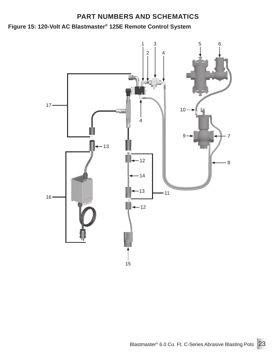**Figure 15: 120-Volt AC Blastmaster® 125E Remote Control System**

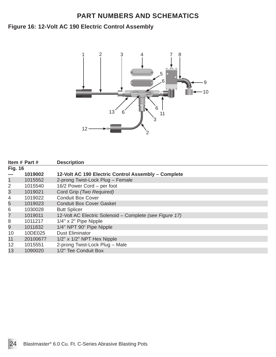#### **12-Volt AC 190 Electric Control Assembly Figure 16:**



|                 | Item # Part # | <b>Description</b>                                      |
|-----------------|---------------|---------------------------------------------------------|
| <b>Fig. 16</b>  |               |                                                         |
|                 | 1019002       | 12-Volt AC 190 Electric Control Assembly - Complete     |
| $\mathbf{1}$    | 1015552       | 2-prong Twist-Lock Plug - Female                        |
| 2               | 1015540       | 16/2 Power Cord – per foot                              |
| 3               | 1019021       | Cord Grip (Two Required)                                |
| 4               | 1019022       | <b>Conduit Box Cover</b>                                |
| 5               | 1019023       | <b>Conduit Box Cover Gasket</b>                         |
| 6               | 1030028       | <b>Butt Splicer</b>                                     |
| 7               | 1019011       | 12-Volt AC Electric Solenoid - Complete (see Figure 17) |
| 8               | 1011217       | $1/4"$ x 2" Pipe Nipple                                 |
| 9               | 1011832       | 1/4" NPT 90° Pipe Nipple                                |
| 10              | 10DE025       | <b>Dust Eliminator</b>                                  |
| 11              | 20100677      | $1/2$ " x $1/2$ " NPT Hex Nipple                        |
| 12 <sup>2</sup> | 1015551       | 2-prong Twist-Lock Plug - Male                          |
| 13              | 1090020       | 1/2" Tee Conduit Box                                    |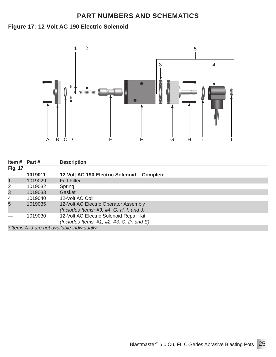#### **12-Volt AC 190 Electric Solenoid Figure 17:**



| Item $#$ Part $#$ |         | <b>Description</b>                                                                      |
|-------------------|---------|-----------------------------------------------------------------------------------------|
| <b>Fig. 17</b>    |         |                                                                                         |
|                   | 1019011 | 12-Volt AC 190 Electric Solenoid - Complete                                             |
| $\mathbf{1}$      | 1019029 | <b>Felt Filter</b>                                                                      |
| $\overline{2}$    | 1019032 | Spring                                                                                  |
| 3                 | 1019033 | Gasket                                                                                  |
| 4                 | 1019040 | 12-Volt AC Coil                                                                         |
| 5                 | 1019035 | 12-Volt AC Electric Operator Assembly<br>(Includes Items: $\#3, \#4, G, H, I$ , and J)  |
|                   | 1019030 | 12-Volt AC Electric Solenoid Repair Kit<br>(Includes Items: #1, #2, #3, C, D, and $E$ ) |
|                   |         | * Items A-J are not available individually                                              |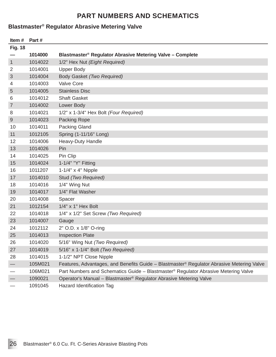#### **Blastmaster® Regulator Abrasive Metering Valve**

| Item#          | Part#   |                                                                                                       |
|----------------|---------|-------------------------------------------------------------------------------------------------------|
| <b>Fig. 18</b> |         |                                                                                                       |
|                | 1014000 | Blastmaster® Regulator Abrasive Metering Valve - Complete                                             |
| $\mathbf{1}$   | 1014022 | 1/2" Hex Nut (Eight Required)                                                                         |
| 2              | 1014001 | <b>Upper Body</b>                                                                                     |
| 3              | 1014004 | Body Gasket (Two Required)                                                                            |
| 4              | 1014003 | <b>Valve Core</b>                                                                                     |
| 5              | 1014005 | <b>Stainless Disc</b>                                                                                 |
| 6              | 1014012 | <b>Shaft Gasket</b>                                                                                   |
| 7              | 1014002 | Lower Body                                                                                            |
| 8              | 1014021 | 1/2" x 1-3/4" Hex Bolt (Four Required)                                                                |
| 9              | 1014023 | Packing Rope                                                                                          |
| 10             | 1014011 | Packing Gland                                                                                         |
| 11             | 1012105 | Spring (1-11/16" Long)                                                                                |
| 12             | 1014006 | Heavy-Duty Handle                                                                                     |
| 13             | 1014026 | Pin                                                                                                   |
| 14             | 1014025 | Pin Clip                                                                                              |
| 15             | 1014024 | 1-1/4" "Y" Fitting                                                                                    |
| 16             | 1011207 | $1-1/4$ " x 4" Nipple                                                                                 |
| 17             | 1014010 | Stud (Two Required)                                                                                   |
| 18             | 1014016 | 1/4" Wing Nut                                                                                         |
| 19             | 1014017 | 1/4" Flat Washer                                                                                      |
| 20             | 1014008 | Spacer                                                                                                |
| 21             | 1012154 | $1/4$ " x 1" Hex Bolt                                                                                 |
| 22             | 1014018 | 1/4" x 1/2" Set Screw (Two Required)                                                                  |
| 23             | 1014007 | Gauge                                                                                                 |
| 24             | 1012112 | 2" O.D. x 1/8" O-ring                                                                                 |
| 25             | 1014013 | <b>Inspection Plate</b>                                                                               |
| 26             | 1014020 | 5/16" Wing Nut (Two Required)                                                                         |
| 27             | 1014019 | 5/16" x 1-1/4" Bolt (Two Required)                                                                    |
| 28             | 1014015 | 1-1/2" NPT Close Nipple                                                                               |
|                | 105M021 | Features, Advantages, and Benefits Guide - Blastmaster <sup>®</sup> Regulator Abrasive Metering Valve |
|                | 106M021 | Part Numbers and Schematics Guide - Blastmaster <sup>®</sup> Regulator Abrasive Metering Valve        |
|                | 1090021 | Operator's Manual - Blastmaster <sup>®</sup> Regulator Abrasive Metering Valve                        |
|                | 1091045 | Hazard Identification Tag                                                                             |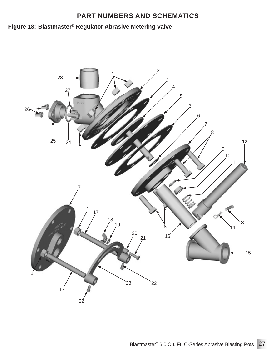# **Blastmaster® Figure 18: Regulator Abrasive Metering Valve**

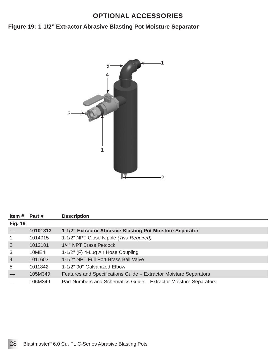# **OPTIONAL ACCESSORIES**

#### **Figure 19: 1-1/2" Extractor Abrasive Blasting Pot Moisture Separator**



| Item # Part #  |          | <b>Description</b>                                                |
|----------------|----------|-------------------------------------------------------------------|
| <b>Fig. 19</b> |          |                                                                   |
|                | 10101313 | 1-1/2" Extractor Abrasive Blasting Pot Moisture Separator         |
| $\overline{1}$ | 1014015  | 1-1/2" NPT Close Nipple (Two Required)                            |
| $\overline{2}$ | 1012101  | 1/4" NPT Brass Petcock                                            |
| 3              | 10ME4    | 1-1/2" (F) 4-Lug Air Hose Coupling                                |
| $\overline{4}$ | 1011603  | 1-1/2" NPT Full Port Brass Ball Valve                             |
| 5              | 1011842  | 1-1/2" 90° Galvanized Elbow                                       |
|                | 105M349  | Features and Specifications Guide – Extractor Moisture Separators |
|                | 106M349  | Part Numbers and Schematics Guide – Extractor Moisture Separators |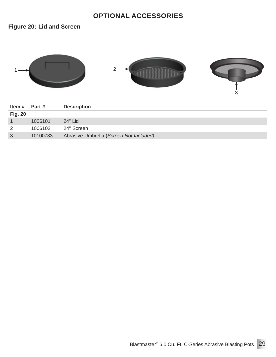# **OPTIONAL ACCESSORIES**

**Figure 20: Lid and Screen**



| Item #         | <b>Part #</b> | <b>Description</b>                      |
|----------------|---------------|-----------------------------------------|
| <b>Fig. 20</b> |               |                                         |
|                | 1006101       | 24" Lid                                 |
| 2              | 1006102       | 24" Screen                              |
| 3              | 10100733      | Abrasive Umbrella (Screen Not Included) |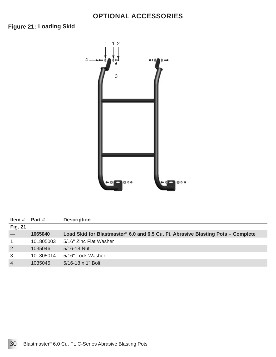### **OPTIONAL ACCESSORIES**



| Item #         | Part #    | <b>Description</b>                                                               |
|----------------|-----------|----------------------------------------------------------------------------------|
| <b>Fig. 21</b> |           |                                                                                  |
|                | 1065040   | Load Skid for Blastmaster® 6.0 and 6.5 Cu. Ft. Abrasive Blasting Pots – Complete |
| $\mathbf{1}$   | 10L805003 | 5/16" Zinc Flat Washer                                                           |
| $\overline{2}$ | 1035046   | 5/16-18 Nut                                                                      |
| 3              | 10L805014 | 5/16" Lock Washer                                                                |
| $\overline{4}$ | 1035045   | $5/16 - 18 \times 1$ " Bolt                                                      |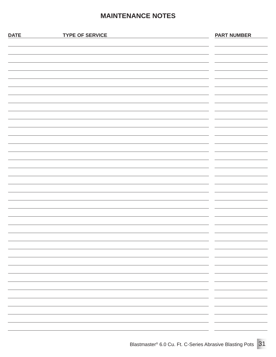# **MAINTENANCE NOTES**

| <b>DATE</b> | <b>TYPE OF SERVICE</b> | <b>PART NUMBER</b> |
|-------------|------------------------|--------------------|
|             |                        |                    |
|             |                        |                    |
|             |                        |                    |
|             |                        |                    |
|             |                        |                    |
|             |                        |                    |
|             |                        |                    |
|             |                        |                    |
|             |                        |                    |
|             |                        |                    |
|             |                        |                    |
|             |                        |                    |
|             |                        |                    |
|             |                        |                    |
|             |                        |                    |
|             |                        |                    |
|             |                        |                    |
|             |                        |                    |
|             |                        |                    |
|             |                        |                    |
|             |                        |                    |
|             |                        |                    |
|             |                        |                    |
|             |                        |                    |
|             |                        |                    |
|             |                        |                    |
|             |                        | - -                |
|             |                        |                    |
|             |                        | - -<br>-           |
|             |                        | -                  |
|             |                        | $\sim$<br>-        |
|             |                        |                    |
|             |                        | $\sim$             |
|             |                        |                    |
|             |                        |                    |